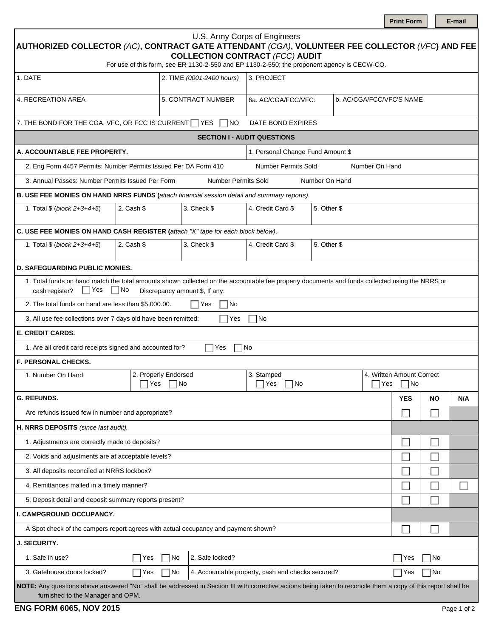| U.S. Army Corps of Engineers<br>$\mid$ AUTHORIZED COLLECTOR (AC), CONTRACT GATE ATTENDANT (CGA), VOLUNTEER FEE COLLECTOR (VFC) AND FEE $\mid$<br><b>COLLECTION CONTRACT (FCC) AUDIT</b><br>For use of this form, see ER 1130-2-550 and EP 1130-2-550; the proponent agency is CECW-CO. |                                          |                           |                                  |                          |  |                                    |           |     |  |  |
|----------------------------------------------------------------------------------------------------------------------------------------------------------------------------------------------------------------------------------------------------------------------------------------|------------------------------------------|---------------------------|----------------------------------|--------------------------|--|------------------------------------|-----------|-----|--|--|
| 1. DATE                                                                                                                                                                                                                                                                                |                                          | 2. TIME (0001-2400 hours) | 3. PROJECT                       |                          |  |                                    |           |     |  |  |
|                                                                                                                                                                                                                                                                                        |                                          |                           |                                  |                          |  |                                    |           |     |  |  |
| 4. RECREATION AREA                                                                                                                                                                                                                                                                     | 5. CONTRACT NUMBER                       | 6a. AC/CGA/FCC/VFC:       | $\blacksquare$                   | b. AC/CGA/FCC/VFC'S NAME |  |                                    |           |     |  |  |
| 7. THE BOND FOR THE CGA, VFC, OR FCC IS CURRENT TYES<br>DATE BOND EXPIRES<br>NO.                                                                                                                                                                                                       |                                          |                           |                                  |                          |  |                                    |           |     |  |  |
| <b>SECTION I - AUDIT QUESTIONS</b>                                                                                                                                                                                                                                                     |                                          |                           |                                  |                          |  |                                    |           |     |  |  |
| A. ACCOUNTABLE FEE PROPERTY.<br>1. Personal Change Fund Amount \$                                                                                                                                                                                                                      |                                          |                           |                                  |                          |  |                                    |           |     |  |  |
| 2. Eng Form 4457 Permits: Number Permits Issued Per DA Form 410<br><b>Number Permits Sold</b><br>Number On Hand                                                                                                                                                                        |                                          |                           |                                  |                          |  |                                    |           |     |  |  |
| 3. Annual Passes: Number Permits Issued Per Form<br><b>Number Permits Sold</b><br>Number On Hand                                                                                                                                                                                       |                                          |                           |                                  |                          |  |                                    |           |     |  |  |
| B. USE FEE MONIES ON HAND NRRS FUNDS (attach financial session detail and summary reports).                                                                                                                                                                                            |                                          |                           |                                  |                          |  |                                    |           |     |  |  |
| 2. Cash \$<br>1. Total \$ (block 2+3+4+5)                                                                                                                                                                                                                                              |                                          | 3. Check \$               | 4. Credit Card \$                | 5. Other \$              |  |                                    |           |     |  |  |
| C. USE FEE MONIES ON HAND CASH REGISTER (attach "X" tape for each block below).                                                                                                                                                                                                        |                                          |                           |                                  |                          |  |                                    |           |     |  |  |
| 2. Cash \$<br>3. Check \$<br>4. Credit Card \$<br>5. Other \$<br>1. Total \$ (block 2+3+4+5)                                                                                                                                                                                           |                                          |                           |                                  |                          |  |                                    |           |     |  |  |
| <b>D. SAFEGUARDING PUBLIC MONIES.</b>                                                                                                                                                                                                                                                  |                                          |                           |                                  |                          |  |                                    |           |     |  |  |
| 1. Total funds on hand match the total amounts shown collected on the accountable fee property documents and funds collected using the NRRS or<br>Yes<br>No<br>cash register?<br>Discrepancy amount \$, If any:                                                                        |                                          |                           |                                  |                          |  |                                    |           |     |  |  |
| 2. The total funds on hand are less than \$5,000.00.<br> Yes<br>No                                                                                                                                                                                                                     |                                          |                           |                                  |                          |  |                                    |           |     |  |  |
| 3. All use fee collections over 7 days old have been remitted:<br> No<br>Yes                                                                                                                                                                                                           |                                          |                           |                                  |                          |  |                                    |           |     |  |  |
| <b>E. CREDIT CARDS.</b>                                                                                                                                                                                                                                                                |                                          |                           |                                  |                          |  |                                    |           |     |  |  |
| 1. Are all credit card receipts signed and accounted for?<br>Yes<br>  No                                                                                                                                                                                                               |                                          |                           |                                  |                          |  |                                    |           |     |  |  |
| <b>F. PERSONAL CHECKS.</b>                                                                                                                                                                                                                                                             |                                          |                           |                                  |                          |  |                                    |           |     |  |  |
| 1. Number On Hand                                                                                                                                                                                                                                                                      | 2. Properly Endorsed<br>$\neg$ No<br>Yes |                           | 3. Stamped<br> Yes<br>∣No<br>Yes |                          |  | 4. Written Amount Correct<br>   No |           |     |  |  |
| <b>G. REFUNDS.</b>                                                                                                                                                                                                                                                                     |                                          |                           |                                  |                          |  | <b>YES</b>                         | <b>NO</b> | N/A |  |  |
| Are refunds issued few in number and appropriate?                                                                                                                                                                                                                                      |                                          |                           |                                  |                          |  |                                    |           |     |  |  |
| H. NRRS DEPOSITS (since last audit).                                                                                                                                                                                                                                                   |                                          |                           |                                  |                          |  |                                    |           |     |  |  |
| 1. Adjustments are correctly made to deposits?                                                                                                                                                                                                                                         |                                          |                           |                                  |                          |  |                                    |           |     |  |  |
| 2. Voids and adjustments are at acceptable levels?                                                                                                                                                                                                                                     |                                          |                           |                                  |                          |  |                                    |           |     |  |  |
| 3. All deposits reconciled at NRRS lockbox?                                                                                                                                                                                                                                            |                                          |                           |                                  |                          |  |                                    |           |     |  |  |
| 4. Remittances mailed in a timely manner?                                                                                                                                                                                                                                              |                                          |                           |                                  |                          |  |                                    |           |     |  |  |
| 5. Deposit detail and deposit summary reports present?                                                                                                                                                                                                                                 |                                          |                           |                                  |                          |  |                                    |           |     |  |  |
| I. CAMPGROUND OCCUPANCY.                                                                                                                                                                                                                                                               |                                          |                           |                                  |                          |  |                                    |           |     |  |  |
| A Spot check of the campers report agrees with actual occupancy and payment shown?                                                                                                                                                                                                     |                                          |                           |                                  |                          |  |                                    |           |     |  |  |
| <b>J. SECURITY.</b>                                                                                                                                                                                                                                                                    |                                          |                           |                                  |                          |  |                                    |           |     |  |  |
| 1. Safe in use?                                                                                                                                                                                                                                                                        | 2. Safe locked?<br>No<br>Yes             |                           |                                  |                          |  |                                    | No<br>Yes |     |  |  |
| 3. Gatehouse doors locked?<br>4. Accountable property, cash and checks secured?<br>No<br>Yes                                                                                                                                                                                           |                                          |                           |                                  |                          |  | Yes                                | No        |     |  |  |
| NOTE: Any questions above answered "No" shall be addressed in Section III with corrective actions being taken to reconcile them a copy of this report shall be<br>furnished to the Manager and OPM.                                                                                    |                                          |                           |                                  |                          |  |                                    |           |     |  |  |

**Print Form** | **E-mail**